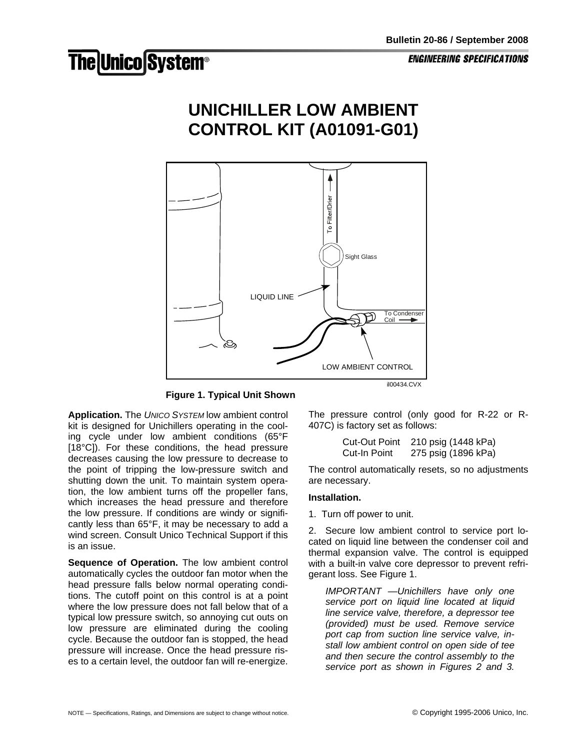**ENGINEERING SPECIFICATIONS** 

## **The Unico System®**





**Figure 1. Typical Unit Shown** 

**Application.** The *UNICO SYSTEM* low ambient control kit is designed for Unichillers operating in the cooling cycle under low ambient conditions (65°F [18°C]). For these conditions, the head pressure decreases causing the low pressure to decrease to the point of tripping the low-pressure switch and shutting down the unit. To maintain system operation, the low ambient turns off the propeller fans, which increases the head pressure and therefore the low pressure. If conditions are windy or significantly less than 65°F, it may be necessary to add a wind screen. Consult Unico Technical Support if this is an issue.

**Sequence of Operation.** The low ambient control automatically cycles the outdoor fan motor when the head pressure falls below normal operating conditions. The cutoff point on this control is at a point where the low pressure does not fall below that of a typical low pressure switch, so annoying cut outs on low pressure are eliminated during the cooling cycle. Because the outdoor fan is stopped, the head pressure will increase. Once the head pressure rises to a certain level, the outdoor fan will re-energize. The pressure control (only good for R-22 or R-407C) is factory set as follows:

```
 Cut-Out Point 210 psig (1448 kPa) 
Cut-In Point 275 psig (1896 kPa)
```
The control automatically resets, so no adjustments are necessary.

## **Installation.**

1. Turn off power to unit.

2. Secure low ambient control to service port located on liquid line between the condenser coil and thermal expansion valve. The control is equipped with a built-in valve core depressor to prevent refrigerant loss. See Figure 1.

*IMPORTANT —Unichillers have only one service port on liquid line located at liquid line service valve, therefore, a depressor tee (provided) must be used. Remove service port cap from suction line service valve, install low ambient control on open side of tee and then secure the control assembly to the service port as shown in Figures 2 and 3.*